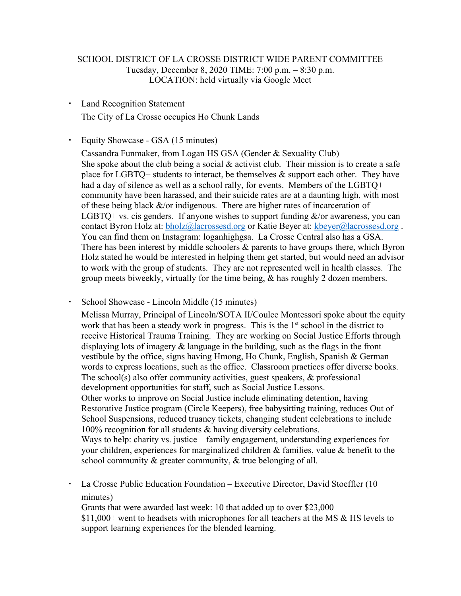# SCHOOL DISTRICT OF LA CROSSE DISTRICT WIDE PARENT COMMITTEE Tuesday, December 8, 2020 TIME: 7:00 p.m. – 8:30 p.m. LOCATION: held virtually via Google Meet

- Land Recognition Statement The City of La Crosse occupies Ho Chunk Lands
- Equity Showcase GSA (15 minutes)

Cassandra Funmaker, from Logan HS GSA (Gender & Sexuality Club) She spoke about the club being a social  $\&$  activist club. Their mission is to create a safe place for LGBTQ+ students to interact, be themselves  $\&$  support each other. They have had a day of silence as well as a school rally, for events. Members of the LGBTQ+ community have been harassed, and their suicide rates are at a daunting high, with most of these being black  $\&$ /or indigenous. There are higher rates of incarceration of LGBTO+ vs. cis genders. If anyone wishes to support funding  $\&$ /or awareness, you can contact Byron Holz at: **bholz@lacrossesd.org** or Katie Beyer at: **kbeyer@lacrossesd.org**. You can find them on Instagram: loganhighgsa. La Crosse Central also has a GSA. There has been interest by middle schoolers  $\&$  parents to have groups there, which Byron Holz stated he would be interested in helping them get started, but would need an advisor to work with the group of students. They are not represented well in health classes. The group meets biweekly, virtually for the time being, & has roughly 2 dozen members.

School Showcase - Lincoln Middle (15 minutes)

Melissa Murray, Principal of Lincoln/SOTA II/Coulee Montessori spoke about the equity work that has been a steady work in progress. This is the  $1<sup>st</sup>$  school in the district to receive Historical Trauma Training. They are working on Social Justice Efforts through displaying lots of imagery  $\&$  language in the building, such as the flags in the front vestibule by the office, signs having Hmong, Ho Chunk, English, Spanish & German words to express locations, such as the office. Classroom practices offer diverse books. The school(s) also offer community activities, guest speakers, & professional development opportunities for staff, such as Social Justice Lessons. Other works to improve on Social Justice include eliminating detention, having Restorative Justice program (Circle Keepers), free babysitting training, reduces Out of School Suspensions, reduced truancy tickets, changing student celebrations to include 100% recognition for all students & having diversity celebrations. Ways to help: charity vs. justice – family engagement, understanding experiences for your children, experiences for marginalized children  $\&$  families, value  $\&$  benefit to the school community & greater community, & true belonging of all.

▪ La Crosse Public Education Foundation – Executive Director, David Stoeffler (10 minutes)

Grants that were awarded last week: 10 that added up to over \$23,000 \$11,000+ went to headsets with microphones for all teachers at the MS & HS levels to support learning experiences for the blended learning.